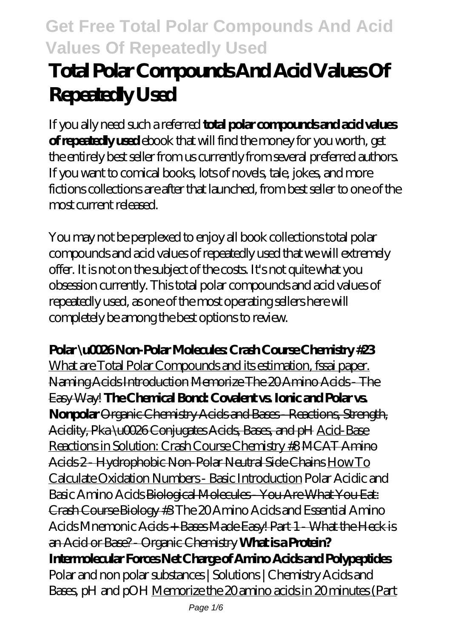# **Total Polar Compounds And Acid Values Of Repeatedly Used**

If you ally need such a referred **total polar compounds and acid values of repeatedly used** ebook that will find the money for you worth, get the entirely best seller from us currently from several preferred authors. If you want to comical books, lots of novels, tale, jokes, and more fictions collections are after that launched, from best seller to one of the most current released.

You may not be perplexed to enjoy all book collections total polar compounds and acid values of repeatedly used that we will extremely offer. It is not on the subject of the costs. It's not quite what you obsession currently. This total polar compounds and acid values of repeatedly used, as one of the most operating sellers here will completely be among the best options to review.

**Polar \u0026 Non-Polar Molecules: Crash Course Chemistry #23** What are Total Polar Compounds and its estimation, fssai paper. Naming Acids Introduction Memorize The 20 Amino Acids - The Easy Way! **The Chemical Bond: Covalent vs. Ionic and Polar vs. Nonpolar** Organic Chemistry Acids and Bases - Reactions, Strength, Acidity, Pka \u0026 Conjugates Acids, Bases, and pH Acid-Base Reactions in Solution: Crash Course Chemistry #8 MCAT Amino Acids 2 - Hydrophobic Non-Polar Neutral Side Chains How To Calculate Oxidation Numbers - Basic Introduction Polar Acidic and Basic Amino Acids Biological Molecules - You Are What You Eat: Crash Course Biology #3 *The 20 Amino Acids and Essential Amino Acids Mnemonic* Acids + Bases Made Easy! Part 1 - What the Heck is an Acid or Base? - Organic Chemistry **What is a Protein? Intermolecular Forces Net Charge of Amino Acids and Polypeptides** *Polar and non polar substances | Solutions | Chemistry Acids and Bases, pH and pOH* Memorize the 20 amino acids in 20 minutes (Part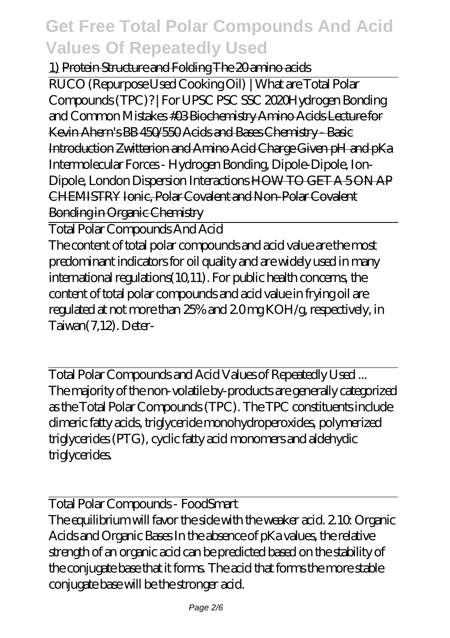#### 1) Protein Structure and Folding The 20 amino acids

RUCO (Repurpose Used Cooking Oil) | What are Total Polar Compounds (TPC)? | For UPSC PSC SSC 2020*Hydrogen Bonding and Common Mistakes* #03 Biochemistry Amino Acids Lecture for Kevin Ahern's BB 450/550 Acids and Bases Chemistry - Basic Introduction Zwitterion and Amino Acid Charge Given pH and pKa *Intermolecular Forces - Hydrogen Bonding, Dipole-Dipole, Ion-Dipole, London Dispersion Interactions* HOW TO GET A 5 ON AP CHEMISTRY Ionic, Polar Covalent and Non-Polar Covalent Bonding in Organic Chemistry

Total Polar Compounds And Acid The content of total polar compounds and acid value are the most predominant indicators for oil quality and are widely used in many international regulations(10,11). For public health concerns, the content of total polar compounds and acid value in frying oil are regulated at not more than 25% and 2.0 mg KOH/g, respectively, in Taiwan(7,12). Deter-

Total Polar Compounds and Acid Values of Repeatedly Used ... The majority of the non-volatile by-products are generally categorized as the Total Polar Compounds (TPC). The TPC constituents include dimeric fatty acids, triglyceride monohydroperoxides, polymerized triglycerides (PTG), cyclic fatty acid monomers and aldehydic triglycerides.

Total Polar Compounds - FoodSmart The equilibrium will favor the side with the weaker acid. 2.10: Organic Acids and Organic Bases In the absence of pKa values, the relative strength of an organic acid can be predicted based on the stability of the conjugate base that it forms. The acid that forms the more stable conjugate base will be the stronger acid.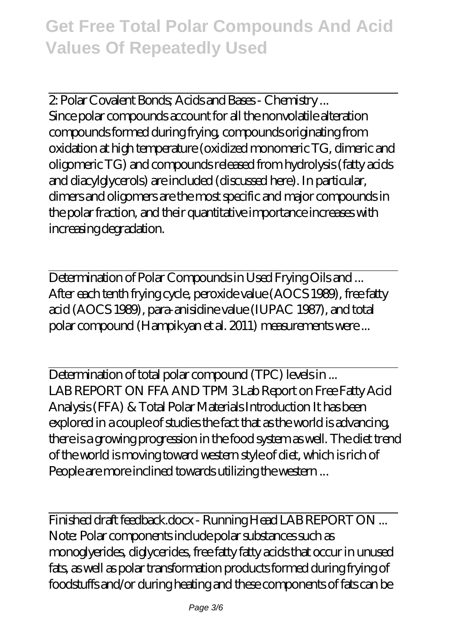2: Polar Covalent Bonds; Acids and Bases - Chemistry ... Since polar compounds account for all the nonvolatile alteration compounds formed during frying, compounds originating from oxidation at high temperature (oxidized monomeric TG, dimeric and oligomeric TG) and compounds released from hydrolysis (fatty acids and diacylglycerols) are included (discussed here). In particular, dimers and oligomers are the most specific and major compounds in the polar fraction, and their quantitative importance increases with increasing degradation.

Determination of Polar Compounds in Used Frying Oils and ... After each tenth frying cycle, peroxide value (AOCS 1989), free fatty acid (AOCS 1989), para-anisidine value (IUPAC 1987), and total polar compound (Hampikyan et al. 2011) measurements were ...

Determination of total polar compound (TPC) levels in ... LAB REPORT ON FFA AND TPM 3 Lab Report on Free Fatty Acid Analysis (FFA) & Total Polar Materials Introduction It has been explored in a couple of studies the fact that as the world is advancing, there is a growing progression in the food system as well. The diet trend of the world is moving toward western style of diet, which is rich of People are more inclined towards utilizing the western ...

Finished draft feedback.docx - Running Head LAB REPORT ON ... Note: Polar components include polar substances such as monoglyerides, diglycerides, free fatty fatty acids that occur in unused fats, as well as polar transformation products formed during frying of foodstuffs and/or during heating and these components of fats can be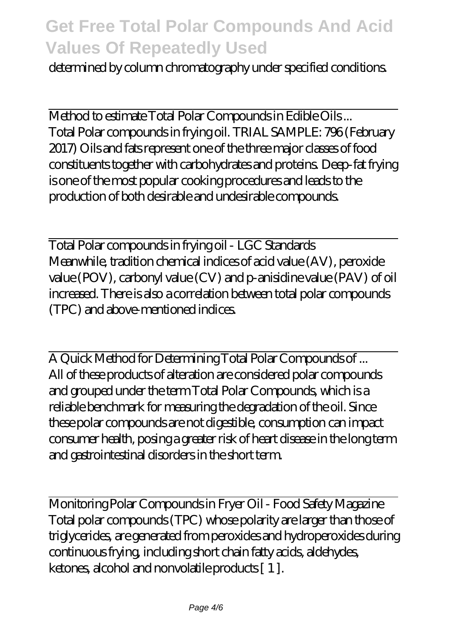determined by column chromatography under specified conditions.

Method to estimate Total Polar Compounds in Edible Oils ... Total Polar compounds in frying oil. TRIAL SAMPLE: 796 (February 2017) Oils and fats represent one of the three major classes of food constituents together with carbohydrates and proteins. Deep-fat frying is one of the most popular cooking procedures and leads to the production of both desirable and undesirable compounds.

Total Polar compounds in frying oil - LGC Standards Meanwhile, tradition chemical indices of acid value (AV), peroxide value (POV), carbonyl value (CV) and p-anisidine value (PAV) of oil increased. There is also a correlation between total polar compounds (TPC) and above-mentioned indices.

A Quick Method for Determining Total Polar Compounds of ... All of these products of alteration are considered polar compounds and grouped under the term Total Polar Compounds, which is a reliable benchmark for measuring the degradation of the oil. Since these polar compounds are not digestible, consumption can impact consumer health, posing a greater risk of heart disease in the long term and gastrointestinal disorders in the short term.

Monitoring Polar Compounds in Fryer Oil - Food Safety Magazine Total polar compounds (TPC) whose polarity are larger than those of triglycerides, are generated from peroxides and hydroperoxides during continuous frying, including short chain fatty acids, aldehydes, ketones, alcohol and nonvolatile products [ 1 ].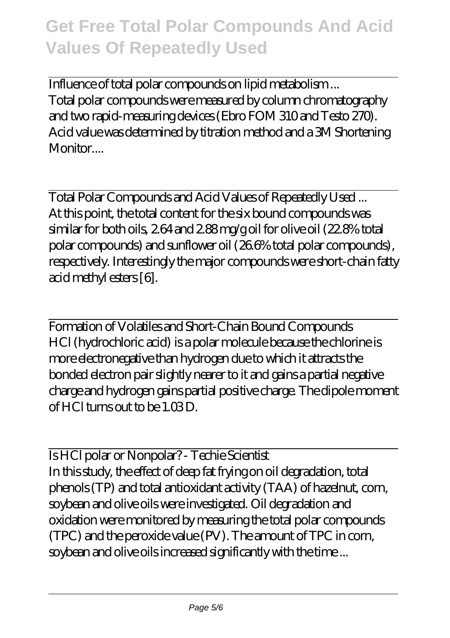Influence of total polar compounds on lipid metabolism ... Total polar compounds were measured by column chromatography and two rapid-measuring devices (Ebro FOM 310 and Testo 270). Acid value was determined by titration method and a 3M Shortening Monitor....

Total Polar Compounds and Acid Values of Repeatedly Used ... At this point, the total content for the six bound compounds was similar for both oils, 2.64 and 2.88 mg/g oil for olive oil (22.8% total polar compounds) and sunflower oil (26.6% total polar compounds), respectively. Interestingly the major compounds were short-chain fatty acid methyl esters [6].

Formation of Volatiles and Short-Chain Bound Compounds HCl (hydrochloric acid) is a polar molecule because the chlorine is more electronegative than hydrogen due to which it attracts the bonded electron pair slightly nearer to it and gains a partial negative charge and hydrogen gains partial positive charge. The dipole moment of  $HCl$  turns out to be 1.03 D.

Is HCl polar or Nonpolar? - Techie Scientist In this study, the effect of deep fat frying on oil degradation, total phenols (TP) and total antioxidant activity (TAA) of hazelnut, corn, soybean and olive oils were investigated. Oil degradation and oxidation were monitored by measuring the total polar compounds (TPC) and the peroxide value (PV). The amount of TPC in corn, soybean and olive oils increased significantly with the time ...